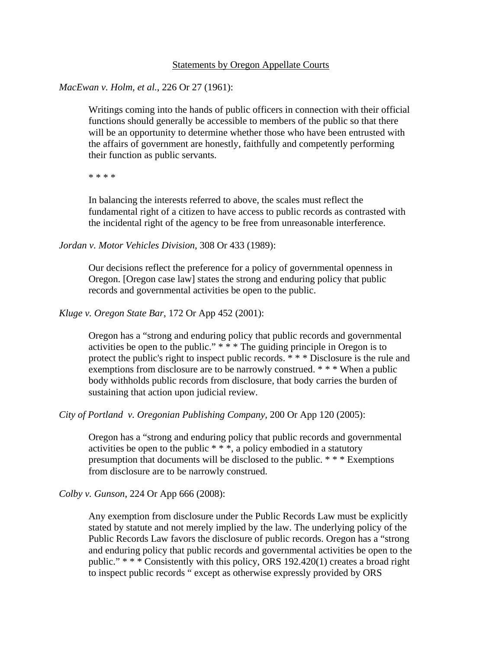# Statements by Oregon Appellate Courts

# *MacEwan v. Holm, et al.*, 226 Or 27 (1961):

Writings coming into the hands of public officers in connection with their official functions should generally be accessible to members of the public so that there will be an opportunity to determine whether those who have been entrusted with the affairs of government are honestly, faithfully and competently performing their function as public servants.

\* \* \* \*

In balancing the interests referred to above, the scales must reflect the fundamental right of a citizen to have access to public records as contrasted with the incidental right of the agency to be free from unreasonable interference.

*Jordan v. Motor Vehicles Division*, 308 Or 433 (1989):

Our decisions reflect the preference for a policy of governmental openness in Oregon. [Oregon case law] states the strong and enduring policy that public records and governmental activities be open to the public.

*Kluge v. Oregon State Bar*, 172 Or App 452 (2001):

Oregon has a "strong and enduring policy that public records and governmental activities be open to the public."  $***$  The guiding principle in Oregon is to protect the public's right to inspect public records. \* \* \* Disclosure is the rule and exemptions from disclosure are to be narrowly construed. \* \* \* When a public body withholds public records from disclosure, that body carries the burden of sustaining that action upon judicial review.

*City of Portland v. Oregonian Publishing Company*, 200 Or App 120 (2005):

Oregon has a "strong and enduring policy that public records and governmental activities be open to the public \* \* \*, a policy embodied in a statutory presumption that documents will be disclosed to the public. \* \* \* Exemptions from disclosure are to be narrowly construed.

*Colby v. Gunson*, 224 Or App 666 (2008):

Any exemption from disclosure under the Public Records Law must be explicitly stated by statute and not merely implied by the law. The underlying policy of the Public Records Law favors the disclosure of public records. Oregon has a "strong and enduring policy that public records and governmental activities be open to the public." \* \* \* Consistently with this policy, ORS 192.420(1) creates a broad right to inspect public records " except as otherwise expressly provided by ORS